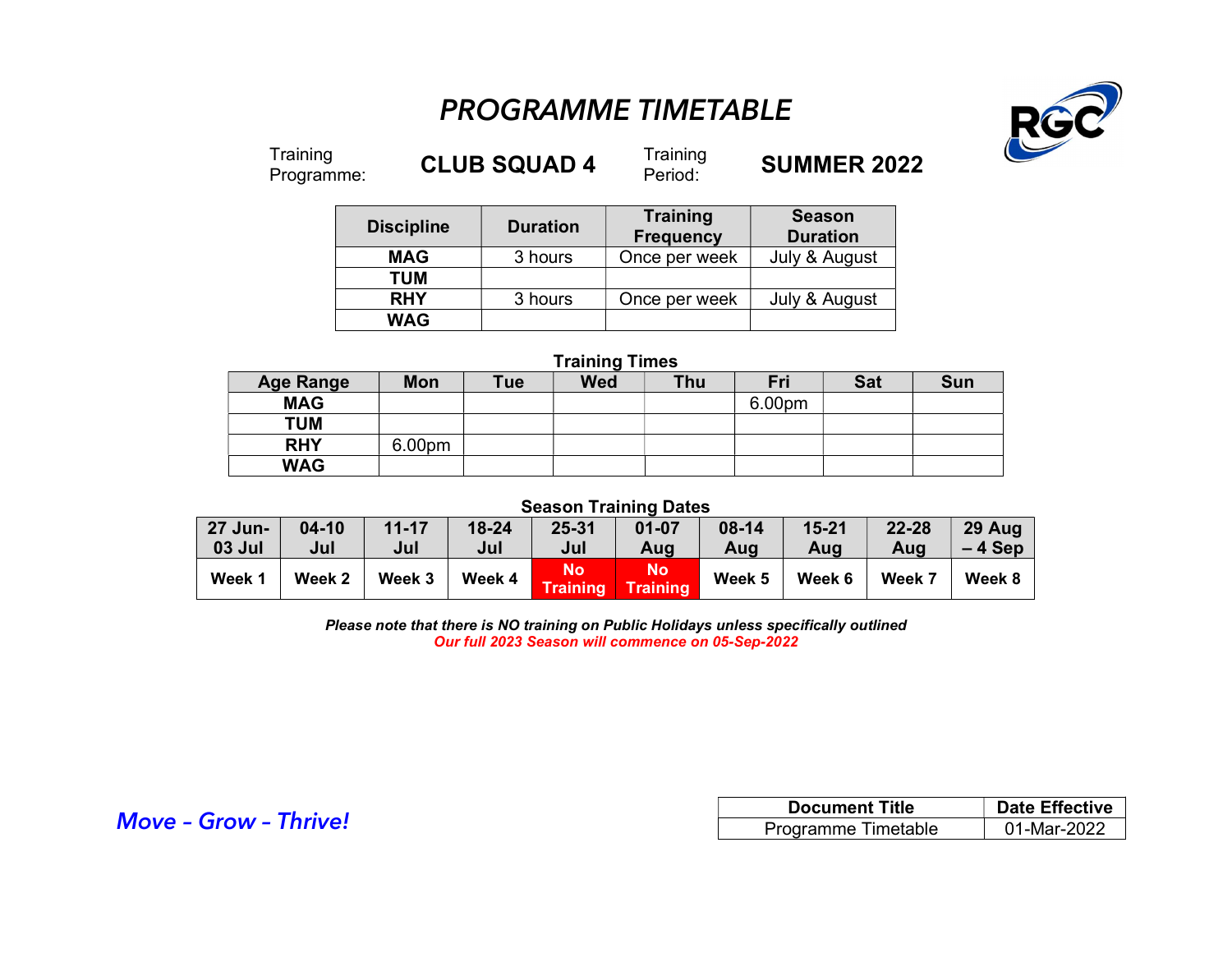## PROGRAMME TIMETABLE



Training<br>Programme:

CLUB SQUAD 4 Training

**SUMMER 2022** 

| <b>Discipline</b> | <b>Duration</b> | Training<br><b>Frequency</b> | <b>Season</b><br><b>Duration</b> |  |
|-------------------|-----------------|------------------------------|----------------------------------|--|
| <b>MAG</b>        | 3 hours         | Once per week                | July & August                    |  |
| <b>TUM</b>        |                 |                              |                                  |  |
| <b>RHY</b>        | 3 hours         | Once per week                | July & August                    |  |
| <b>WAG</b>        |                 |                              |                                  |  |

## Training Times Age Range | Mon | Tue | Wed | Thu | Fri | Sat | Sun MAG | | | | | | 6.00pm TUM **RHY** 6.00pm WAG

## Season Training Dates

| 27 Jun- | $04-10$ | $11 - 17$ | $18 - 24$ | 25-31                 | $01 - 07$       | 08-14  | $15 - 21$ | $22 - 28$ | 29 Aug   |
|---------|---------|-----------|-----------|-----------------------|-----------------|--------|-----------|-----------|----------|
| 03 Jul  | Jul     | Jul       | Jul       | Jul                   | Aug             | Aug    | Aug       | Aug       | $-4$ Sep |
| Week 1  | Week 2  | Week 3    | Week 4    | No<br><b>Training</b> | No/<br>Training | Week 5 | Week 6    | Week 7    | Week 8   |

Please note that there is NO training on Public Holidays unless specifically outlined Our full 2023 Season will commence on 05-Sep-2022

|                              | <b>Document Title</b> | <b>Date Effective</b> |  |
|------------------------------|-----------------------|-----------------------|--|
| <b>Move - Grow - Thrive!</b> | Programme Timetable   | 01-Mar-2022           |  |